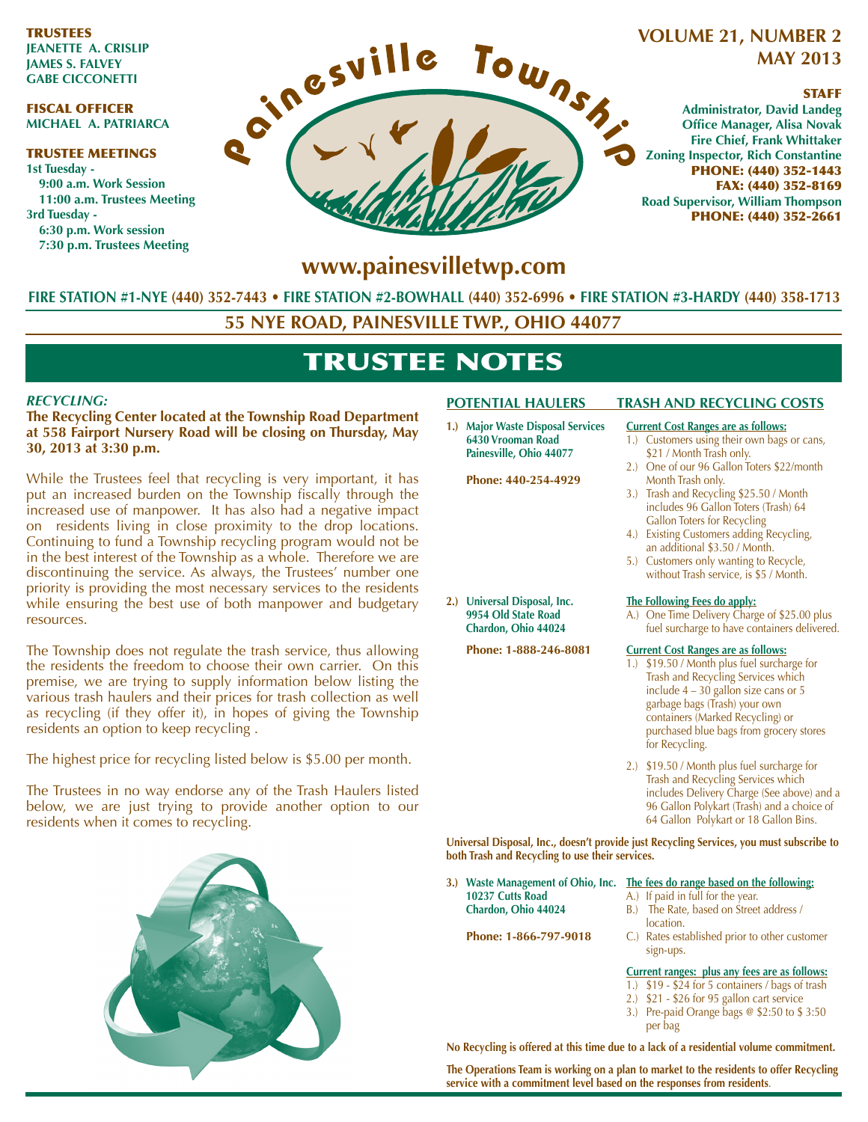TRUSTEES **JEANETTE A. CRISLIP JAMES S. FALVEY GABE CICCONETTI**

#### FISCAL OFFICER **MICHAEL A. PATRIARCA**

#### TRUSTEE MEETINGS **1st Tuesday - 9:00 a.m. Work Session 11:00 a.m. Trustees Meeting 3rd Tuesday - 6:30 p.m. Work session 7:30 p.m. Trustees Meeting**



## **VOLUME 21, NUMBER 2 MAY 2013**

#### STAFF

**Administrator, David Landeg Office Manager, Alisa Novak Fire Chief, Frank Whittaker Zoning Inspector, Rich Constantine** PHONE: (440) 352-1443 FAX: (440) 352-8169 **Road Supervisor, William Thompson** PHONE: (440) 352-2661

# www.painesvilletwp.com

**FIRE STATION #1-NYE (440) 352-7443FIRE STATION #2-BOWHALL FIRE STATION #3-HARDY (440) 358-1713**

**55 NYE ROAD, PAINESVILLE TWP., OHIO 44077**

# TRUSTEE NOTES

#### *RECYCLING:*

**The Recycling Center located at the Township Road Department** at 558 Fairport Nursery Road will be closing on Thursday, May **30, 2013 at 3:30 p.m.** 

While the Trustees feel that recycling is very important, it has put an increased burden on the Township fiscally through the increased use of manpower. It has also had a negative impact on residents living in close proximity to the drop locations. Continuing to fund a Township recycling program would not be in the best interest of the Township as a whole. Therefore we are discontinuing the service. As always, the Trustees' number one priority is providing the most necessary services to the residents while ensuring the best use of both manpower and budgetary resources.

The Township does not regulate the trash service, thus allowing the residents the freedom to choose their own carrier. On this premise, we are trying to supply information below listing the various trash haulers and their prices for trash collection as well as recycling (if they offer it), in hopes of giving the Township residents an option to keep recycling .

The highest price for recycling listed below is \$5.00 per month.

The Trustees in no way endorse any of the Trash Haulers listed below, we are just trying to provide another option to our residents when it comes to recycling.



**1.) Major Waste Disposal Services Current Cost Ranges are as follows:**<br>6430 Vrooman Road **1.**) Customers using their own bags **Painesville, Ohio 44077** \$21 / Month Trash only.

**Phone: 440-254-4929** Month Trash only.

#### **POTENTIAL HAULERS TRASH AND RECYCLING COSTS**

- **1.)** Customers using their own bags or cans,
- 2.) One of our 96 Gallon Toters \$22/month
- 3.) Trash and Recycling \$25.50 / Month includes 96 Gallon Toters (Trash) 64 Gallon Toters for Recycling
- 4.) Existing Customers adding Recycling, an additional \$3.50 / Month.
- 5.) Customers only wanting to Recycle, without Trash service, is \$5 / Month.

## **2.) Universal Disposal, Inc.**<br>**2.) 10.11 <b>11.12. 11.12. 11.12. 12.13. 12.13. 2.13. 2.13. 2.13. 2.13. 2.13. 2.13. 2.13. 2.13. 2.13. 2.13. 2.13. 2.13. 2.13. 2.13. 2.13. 2.13. 2.**

A.) One Time Delivery Charge of \$25.00 plus **Chardon, Ohio 44024** fuel surcharge to have containers delivered.

#### **Phone: 1-888-246-8081** *Current Cost Ranges are as follows:*

- 1.) \$19.50 / Month plus fuel surcharge for Trash and Recycling Services which include 4 – 30 gallon size cans or 5 garbage bags (Trash) your own containers (Marked Recycling) or purchased blue bags from grocery stores for Recycling.
- 2.) \$19.50 / Month plus fuel surcharge for Trash and Recycling Services which includes Delivery Charge (See above) and a 96 Gallon Polykart (Trash) and a choice of 64 Gallon Polykart or 18 Gallon Bins.

Universal Disposal, Inc., doesn't provide just Recycling Services, you must subscribe to **Iverthere Interpretate Incoherence Islands** Recycling to use their services.

3.) Waste Management of Ohio, Inc. The fees do range based on the following: **10237 Cutts Road A.**) If paid in full for the year.<br>**Chardon, Ohio 44024 B.**) The Rate, based on Street

location.<br>**Phone: 1-866-797-9018** C.) Rates esta

- 
- **B.)** The Rate, based on Street address /
- C.) Rates established prior to other customer sign-ups.

#### **Current ranges: plus any fees are as follows:**

- 1.) \$19 \$24 for 5 containers / bags of trash
- 2.) \$21 \$26 for 95 gallon cart service
- 3.) Pre-paid Orange bags @ \$2:50 to \$ 3:50 per bag

No Recycling is offered at this time due to a lack of a residential volume commitment.

The Operations Team is working on a plan to market to the residents to offer Recycling service with a commitment level based on the responses from residents.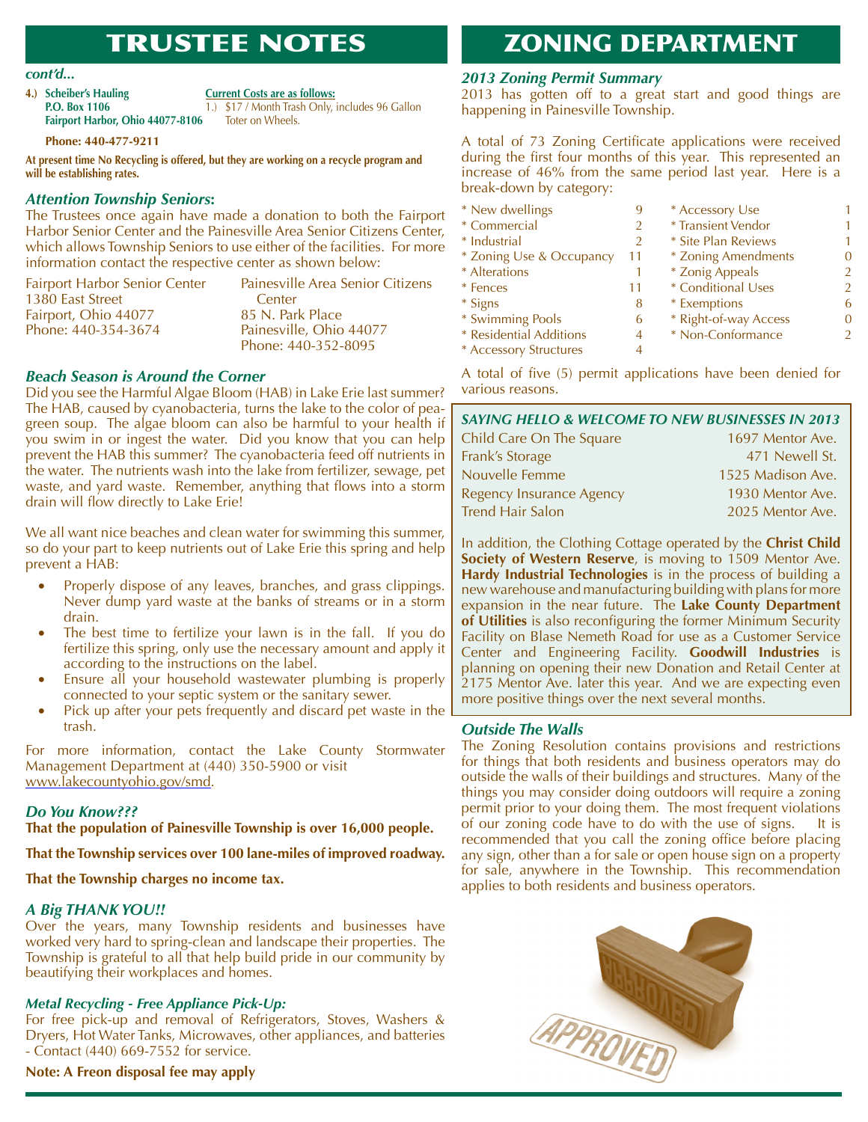# TRUSTEE NOTES

4.) **Scheiber's Hauling** *Current Costs are as follows:* **Fairport Harbor, Ohio 44077-8106** Toter on Wheels.

**P.O. Box 1106** 1.) \$17 / Month Trash Only, includes 96 Gallon

#### **Phone: 440-477-9211**

At present time No Recycling is offered, but they are working on a recycle program and will be establishing rates.

#### *Attention Township Seniors***:**

The Trustees once again have made a donation to both the Fairport Harbor Senior Center and the Painesville Area Senior Citizens Center, which allows Township Seniors to use either of the facilities. For more information contact the respective center as shown below:

| <b>Fairport Harbor Senior Center</b> | Painesville Area Senior Citizens |
|--------------------------------------|----------------------------------|
| 1380 East Street                     | Center                           |
| Fairport, Ohio 44077                 | 85 N. Park Place                 |
| Phone: 440-354-3674                  | Painesville, Ohio 44077          |
|                                      | Phone: 440-352-8095              |

#### *Beach Season is Around the Corner*

Did you see the Harmful Algae Bloom (HAB) in Lake Erie last summer? The HAB, caused by cyanobacteria, turns the lake to the color of peagreen soup. The algae bloom can also be harmful to your health if you swim in or ingest the water. Did you know that you can help prevent the HAB this summer? The cyanobacteria feed off nutrients in the water. The nutrients wash into the lake from fertilizer, sewage, pet waste, and yard waste. Remember, anything that flows into a storm drain will flow directly to Lake Erie!

We all want nice beaches and clean water for swimming this summer, so do your part to keep nutrients out of Lake Erie this spring and help prevent a HAB:

- Properly dispose of any leaves, branches, and grass clippings. Never dump yard waste at the banks of streams or in a storm drain.
- The best time to fertilize your lawn is in the fall. If you do fertilize this spring, only use the necessary amount and apply it according to the instructions on the label.
- Ensure all your household wastewater plumbing is properly connected to your septic system or the sanitary sewer.
- Pick up after your pets frequently and discard pet waste in the trash.

For more information, contact the Lake County Stormwater Management Department at (440) 350-5900 or visit www.lakecountyohio.gov/smd.

### *Do You Know???*

That the population of Painesville Township is over 16,000 people.

That the Township services over 100 lane-miles of improved roadway.

#### That the Township charges no income tax.

### *A Big THANK YOU!!*

Over the years, many Township residents and businesses have worked very hard to spring-clean and landscape their properties. The Township is grateful to all that help build pride in our community by beautifying their workplaces and homes.

### *Metal Recycling - Free Appliance Pick-Up:*

For free pick-up and removal of Refrigerators, Stoves, Washers & Dryers, Hot Water Tanks, Microwaves, other appliances, and batteries - Contact (440) 669-7552 for service.

**Note: A Freon disposal fee may apply** 

# ZONING DEPARTMENT

### *cont'd... 2013 Zoning Permit Summary*

2013 has gotten off to a great start and good things are happening in Painesville Township.

A total of 73 Zoning Certificate applications were received during the first four months of this year. This represented an increase of 46% from the same period last year. Here is a break-down by category:

- \* New dwellings 9<br>\* Commercial 9 \* Commercial 2 \* Industrial 2 \* Zoning Use & Occupancy 11 \* Alterations 1 \* Fences 11 \* Signs 8 \* Swimming Pools 6 \* Accessory Use 1 \* Transient Vendor 1<br>
1 Plan Reviews 1 \* Site Plan Reviews 1 \* Zoning Amendments 0 \* Zonig Appeals 2<br>
\* Conditional Uses 2 \* Conditional Uses 2 \* Exemptions 6 \* Right-of-way Access 0 \* Non-Conformance 2
- \* Residential Additions 4
- \* Accessory Structures 4

A total of five (5) permit applications have been denied for various reasons.

#### *SAYING HELLO & WELCOME TO NEW BUSINESSES IN 2013* Child Care On The Square 1697 Mentor Ave. Frank's Storage **471 Newell St.** Nouvelle Femme 1525 Madison Ave. Regency Insurance Agency 1930 Mentor Ave. Trend Hair Salon 2025 Mentor Ave.

In addition, the Clothing Cottage operated by the **Christ Child Society of Western Reserve**, is moving to 1509 Mentor Ave. Hardy Industrial Technologies is in the process of building a new warehouse and manufacturing building with plans for more expansion in the near future. The **Lake County Department**  of Utilities is also reconfiguring the former Minimum Security Facility on Blase Nemeth Road for use as a Customer Service Center and Engineering Facility. Goodwill Industries is planning on opening their new Donation and Retail Center at 2175 Mentor Ave. later this year. And we are expecting even more positive things over the next several months.

#### *Outside The Walls*

The Zoning Resolution contains provisions and restrictions for things that both residents and business operators may do outside the walls of their buildings and structures. Many of the things you may consider doing outdoors will require a zoning permit prior to your doing them. The most frequent violations of our zoning code have to do with the use of signs. It is recommended that you call the zoning office before placing any sign, other than a for sale or open house sign on a property for sale, anywhere in the Township. This recommendation applies to both residents and business operators.

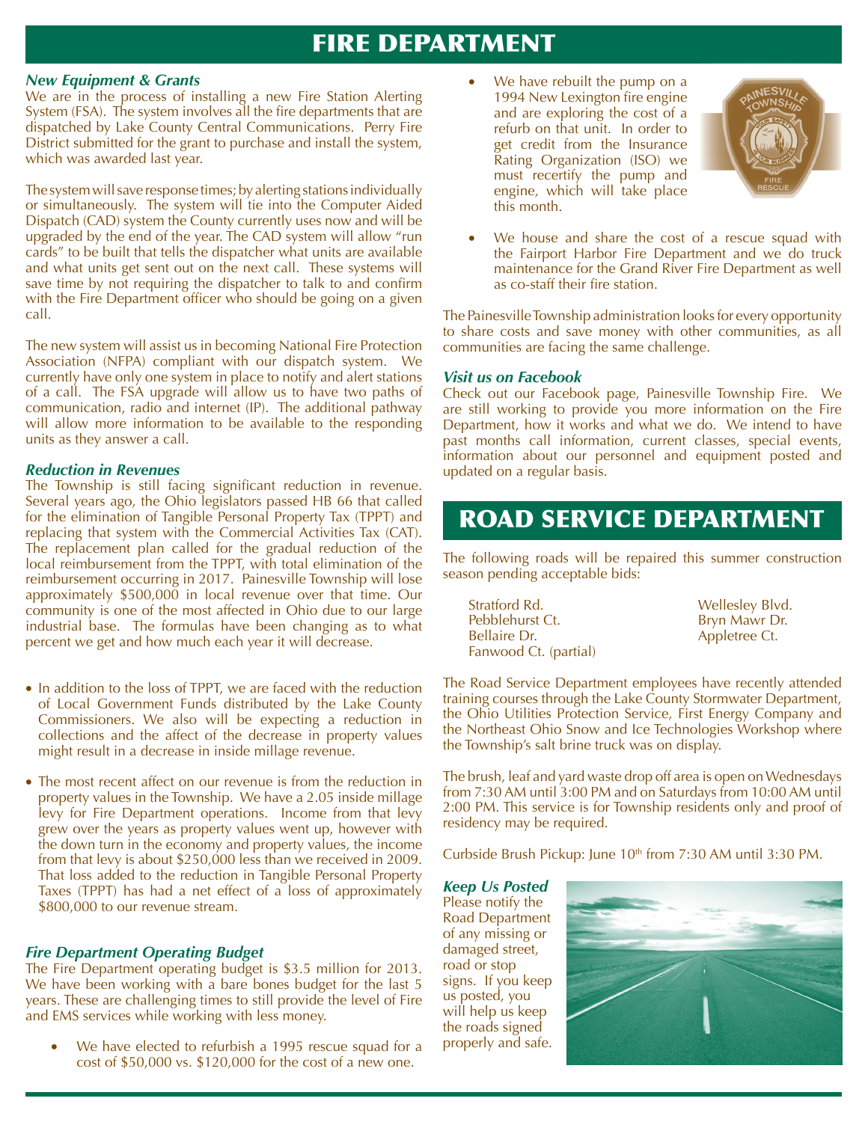# FIRE DEPARTMENT

#### *New Equipment & Grants*

We are in the process of installing a new Fire Station Alerting System (FSA). The system involves all the fire departments that are dispatched by Lake County Central Communications. Perry Fire District submitted for the grant to purchase and install the system, which was awarded last year.

The system will save response times; by alerting stations individually or simultaneously. The system will tie into the Computer Aided Dispatch (CAD) system the County currently uses now and will be upgraded by the end of the year. The CAD system will allow "run cards" to be built that tells the dispatcher what units are available and what units get sent out on the next call. These systems will save time by not requiring the dispatcher to talk to and confirm with the Fire Department officer who should be going on a given call.

The new system will assist us in becoming National Fire Protection Association (NFPA) compliant with our dispatch system. We currently have only one system in place to notify and alert stations of a call. The FSA upgrade will allow us to have two paths of communication, radio and internet (IP). The additional pathway will allow more information to be available to the responding units as they answer a call.

#### *Reduction in Revenues*

The Township is still facing significant reduction in revenue. Several years ago, the Ohio legislators passed HB 66 that called for the elimination of Tangible Personal Property Tax (TPPT) and replacing that system with the Commercial Activities Tax (CAT). The replacement plan called for the gradual reduction of the local reimbursement from the TPPT, with total elimination of the reimbursement occurring in 2017. Painesville Township will lose approximately \$500,000 in local revenue over that time. Our community is one of the most affected in Ohio due to our large industrial base. The formulas have been changing as to what percent we get and how much each year it will decrease.

- In addition to the loss of TPPT, we are faced with the reduction of Local Government Funds distributed by the Lake County Commissioners. We also will be expecting a reduction in collections and the affect of the decrease in property values might result in a decrease in inside millage revenue.
- The most recent affect on our revenue is from the reduction in property values in the Township. We have a 2.05 inside millage levy for Fire Department operations. Income from that levy grew over the years as property values went up, however with the down turn in the economy and property values, the income from that levy is about \$250,000 less than we received in 2009. That loss added to the reduction in Tangible Personal Property Taxes (TPPT) has had a net effect of a loss of approximately \$800,000 to our revenue stream.

#### *Fire Department Operating Budget*

The Fire Department operating budget is \$3.5 million for 2013. We have been working with a bare bones budget for the last 5 years. These are challenging times to still provide the level of Fire and EMS services while working with less money.

We have elected to refurbish a 1995 rescue squad for a cost of \$50,000 vs. \$120,000 for the cost of a new one.

We have rebuilt the pump on a 1994 New Lexington fire engine and are exploring the cost of a refurb on that unit. In order to get credit from the Insurance Rating Organization (ISO) we must recertify the pump and engine, which will take place this month.



We house and share the cost of a rescue squad with the Fairport Harbor Fire Department and we do truck maintenance for the Grand River Fire Department as well as co-staff their fire station.

The Painesville Township administration looks for every opportunity to share costs and save money with other communities, as all communities are facing the same challenge.

#### *Visit us on Facebook*

Check out our Facebook page, Painesville Township Fire. We are still working to provide you more information on the Fire Department, how it works and what we do. We intend to have past months call information, current classes, special events, information about our personnel and equipment posted and updated on a regular basis.

## ROAD SERVICE DEPARTMENT

The following roads will be repaired this summer construction season pending acceptable bids:

Stratford Rd. Wellesley Blvd. Pebblehurst Ct. Bryn Mawr Dr. Bellaire Dr. Appletree Ct. Fanwood Ct. (partial)

The Road Service Department employees have recently attended training courses through the Lake County Stormwater Department, the Ohio Utilities Protection Service, First Energy Company and the Northeast Ohio Snow and Ice Technologies Workshop where the Township's salt brine truck was on display.

The brush, leaf and yard waste drop off area is open on Wednesdays from 7:30 AM until 3:00 PM and on Saturdays from 10:00 AM until 2:00 PM. This service is for Township residents only and proof of residency may be required.

Curbside Brush Pickup: June  $10<sup>th</sup>$  from 7:30 AM until 3:30 PM.

#### *Keep Us Posted*

Please notify the Road Department of any missing or damaged street, road or stop signs. If you keep us posted, you will help us keep the roads signed properly and safe.